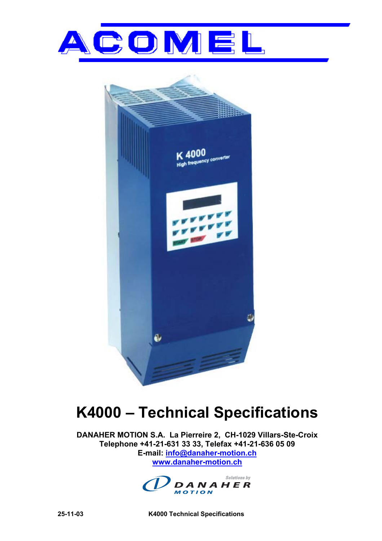



# **K4000 – Technical Specifications**

**DANAHER MOTION S.A. La Pierreire 2, CH-1029 Villars-Ste-Croix Telephone +41-21-631 33 33, Telefax +41-21-636 05 09 E-mail: info@danaher-motion.ch www.danaher-motion.ch**



**25-11-03 K4000 Technical Specifications**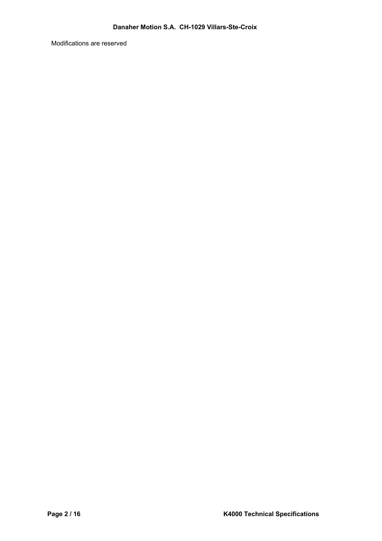Modifications are reserved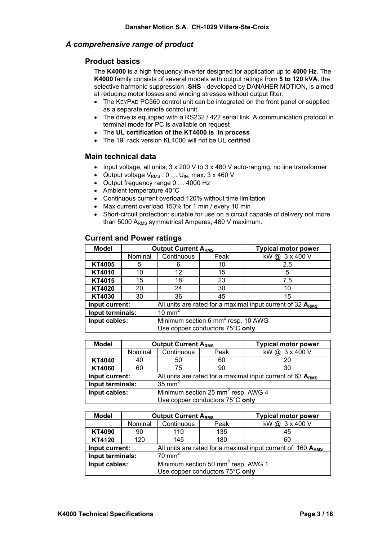## *A comprehensive range of product*

## **Product basics**

The **K4000** is a high frequency inverter designed for application up to **4000 Hz**. The **K4000** family consists of several models with output ratings from **5 to 120 kVA.** the selective harmonic suppression -**SHS** - developed by DANAHER MOTION, is aimed at reducing motor losses and winding stresses without output filter.

- The KEYPAD PC560 control unit can be integrated on the front panel or supplied as a separate remote control unit.
- The drive is equipped with a RS232 / 422 serial link. A communication protocol in terminal mode for PC is available on request
- The **UL certification of the KT4000 is in process**
- The 19" rack version KL4000 will not be UL certified

## **Main technical data**

- Input voltage, all units, 3 x 200 V to 3 x 480 V auto-ranging, no line transformer
- Output voltage  $V_{RMS}$ : 0 ...  $U_{IN}$ , max. 3 x 460 V
- Output frequency range 0 … 4000 Hz
- Ambient temperature 40°C
- Continuous current overload 120% without time limitation
- Max current overload 150% for 1 min / every 10 min
- Short-circuit protection: suitable for use on a circuit capable of delivery not more than 5000 A<sub>RMS</sub> symmetrical Amperes, 480 V maximum.

#### **Current and Power ratings**

| <b>Model</b>     | <b>Output Current ARMS</b> |                                                              |      | <b>Typical motor power</b> |  |
|------------------|----------------------------|--------------------------------------------------------------|------|----------------------------|--|
|                  | Nominal                    | Continuous                                                   | Peak | kW@ 3 x 400 V              |  |
| <b>KT4005</b>    | 5                          | 6                                                            | 10   | $2.5\,$                    |  |
| <b>KT4010</b>    | 10                         | 12                                                           | 15   | 5                          |  |
| KT4015           | 15                         | 18                                                           | 23   | 7.5                        |  |
| <b>KT4020</b>    | 20                         | 24                                                           | 30   | 10                         |  |
| <b>KT4030</b>    | 30                         | 36                                                           | 45   | 15                         |  |
| Input current:   |                            | All units are rated for a maximal input current of 32 $ARMS$ |      |                            |  |
| Input terminals: |                            | 10 mm <sup>2</sup>                                           |      |                            |  |
| Input cables:    |                            | Minimum section 6 mm <sup>2</sup> resp. 10 AWG               |      |                            |  |
|                  |                            | Use copper conductors 75°C only                              |      |                            |  |

| <b>Model</b>                          | <b>Output Current ARMS</b> |                                                              |      | <b>Typical motor power</b> |  |  |
|---------------------------------------|----------------------------|--------------------------------------------------------------|------|----------------------------|--|--|
|                                       | Nominal                    | Continuous                                                   | Peak | kW@ 3 x 400 V              |  |  |
| <b>KT4040</b>                         | 40                         | 50                                                           | 60   | 20                         |  |  |
| <b>KT4060</b>                         | 60                         | 75                                                           | 90   | 30                         |  |  |
| Input current:                        |                            | All units are rated for a maximal input current of 63 $ARMS$ |      |                            |  |  |
| $35 \text{ mm}^2$<br>Input terminals: |                            |                                                              |      |                            |  |  |
| Input cables:                         |                            | Minimum section 25 mm <sup>2</sup> resp. AWG 4               |      |                            |  |  |
| Use copper conductors 75°C only       |                            |                                                              |      |                            |  |  |

| <b>Model</b>                                                                  | <b>Output Current ARMS</b> |                                                |      | <b>Typical motor power</b> |  |
|-------------------------------------------------------------------------------|----------------------------|------------------------------------------------|------|----------------------------|--|
|                                                                               | Nominal                    | Continuous                                     | Peak | kW@ 3 x 400 V              |  |
| <b>KT4090</b>                                                                 | 90                         | 110                                            | 135  | 45                         |  |
| <b>KT4120</b>                                                                 | 120                        | 145                                            | 180  | 60                         |  |
| All units are rated for a maximal input current of 160 ARMS<br>Input current: |                            |                                                |      |                            |  |
| Input terminals:                                                              |                            | $70 \text{ mm}^2$                              |      |                            |  |
| Input cables:                                                                 |                            | Minimum section 50 mm <sup>2</sup> resp. AWG 1 |      |                            |  |
| Use copper conductors 75°C only                                               |                            |                                                |      |                            |  |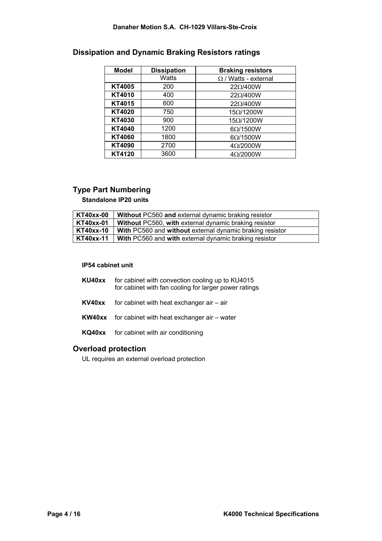#### **Danaher Motion S.A. CH-1029 Villars-Ste-Croix**

| <b>Model</b>  | <b>Dissipation</b> | <b>Braking resistors</b>    |
|---------------|--------------------|-----------------------------|
|               | Watts              | $\Omega$ / Watts - external |
| <b>KT4005</b> | 200                | $22\Omega/400W$             |
| <b>KT4010</b> | 400                | 220/400W                    |
| KT4015        | 600                | 220/400W                    |
| <b>KT4020</b> | 750                | 15Ω/1200W                   |
| KT4030        | 900                | 15Q/1200W                   |
| <b>KT4040</b> | 1200               | $6\Omega/1500W$             |
| <b>KT4060</b> | 1800               | $6\Omega/1500W$             |
| <b>KT4090</b> | 2700               | 4Ω/2000W                    |
| <b>KT4120</b> | 3600               | 4Ω/2000W                    |

# **Dissipation and Dynamic Braking Resistors ratings**

# **Type Part Numbering**

**Standalone IP20 units** 

| KT40xx-00        | Without PC560 and external dynamic braking resistor      |
|------------------|----------------------------------------------------------|
| <b>KT40xx-01</b> | Without PC560, with external dynamic braking resistor    |
| KT40xx-10        | With PC560 and without external dynamic braking resistor |
| KT40xx-11        | With PC560 and with external dynamic braking resistor    |

**IP54 cabinet unit** 

| KU40xx | for cabinet with convection cooling up to KU4015<br>for cabinet with fan cooling for larger power ratings |
|--------|-----------------------------------------------------------------------------------------------------------|
| KV40xx | for cabinet with heat exchanger air $-$ air                                                               |
| KW40xx | for cabinet with heat exchanger air - water                                                               |
| KQ40xx | for cabinet with air conditioning                                                                         |
|        |                                                                                                           |

# **Overload protection**

UL requires an external overload protection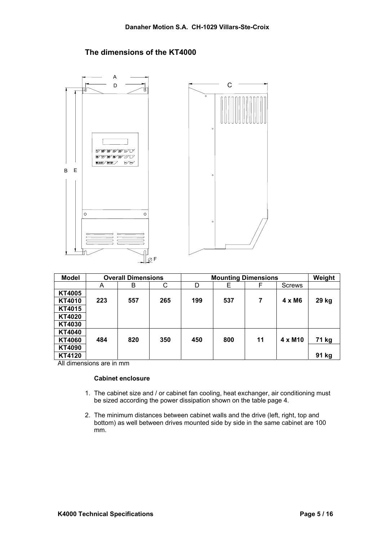**The dimensions of the KT4000** 



| <b>Model</b>  |     | <b>Overall Dimensions</b> |     | <b>Mounting Dimensions</b> |     |    |                | Weight |
|---------------|-----|---------------------------|-----|----------------------------|-----|----|----------------|--------|
|               | Α   | В                         | C   | D                          | E.  | F  | <b>Screws</b>  |        |
| <b>KT4005</b> |     |                           |     |                            |     |    |                |        |
| <b>KT4010</b> | 223 | 557                       | 265 | 199                        | 537 | 7  | $4 \times M6$  | 29 kg  |
| KT4015        |     |                           |     |                            |     |    |                |        |
| <b>KT4020</b> |     |                           |     |                            |     |    |                |        |
| KT4030        |     |                           |     |                            |     |    |                |        |
| <b>KT4040</b> |     |                           |     |                            |     |    |                |        |
| <b>KT4060</b> | 484 | 820                       | 350 | 450                        | 800 | 11 | $4 \times M10$ | 71 kg  |
| <b>KT4090</b> |     |                           |     |                            |     |    |                |        |
| KT4120        |     |                           |     |                            |     |    |                | 91 kg  |

All dimensions are in mm

#### **Cabinet enclosure**

- 1. The cabinet size and / or cabinet fan cooling, heat exchanger, air conditioning must be sized according the power dissipation shown on the table page 4.
- 2. The minimum distances between cabinet walls and the drive (left, right, top and bottom) as well between drives mounted side by side in the same cabinet are 100 mm.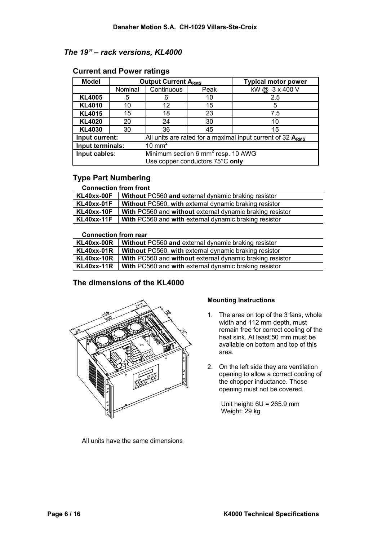# *The 19" – rack versions, KL4000*

## **Current and Power ratings**

| <b>Model</b>     | <b>Output Current ARMS</b>                                                     |                                                |      | <b>Typical motor power</b> |  |
|------------------|--------------------------------------------------------------------------------|------------------------------------------------|------|----------------------------|--|
|                  | Nominal                                                                        | Continuous                                     | Peak | kW@ 3 x 400 V              |  |
| <b>KL4005</b>    | 5                                                                              | 6                                              | 10   | 2.5                        |  |
| <b>KL4010</b>    | 10                                                                             | 12                                             | 15   | 5                          |  |
| <b>KL4015</b>    | 15                                                                             | 18                                             | 23   | 7.5                        |  |
| <b>KL4020</b>    | 20                                                                             | 24                                             | 30   | 10                         |  |
| <b>KL4030</b>    | 30                                                                             | 36                                             | 45   | 15                         |  |
|                  | All units are rated for a maximal input current of 32 $ARMS$<br>Input current: |                                                |      |                            |  |
| Input terminals: |                                                                                | 10 mm <sup>2</sup>                             |      |                            |  |
| Input cables:    |                                                                                | Minimum section 6 mm <sup>2</sup> resp. 10 AWG |      |                            |  |
|                  |                                                                                | Use copper conductors 75°C only                |      |                            |  |

# **Type Part Numbering**

#### **Connection from front**

| <b>KL40xx-00F</b> | Without PC560 and external dynamic braking resistor      |
|-------------------|----------------------------------------------------------|
| <b>KL40xx-01F</b> | Without PC560, with external dynamic braking resistor    |
| <b>KL40xx-10F</b> | With PC560 and without external dynamic braking resistor |
| <b>KL40xx-11F</b> | With PC560 and with external dynamic braking resistor    |

#### **Connection from rear**

| <b>KL40xx-00R</b> | Without PC560 and external dynamic braking resistor      |
|-------------------|----------------------------------------------------------|
| <b>KL40xx-01R</b> | Without PC560, with external dynamic braking resistor    |
| <b>KL40xx-10R</b> | With PC560 and without external dynamic braking resistor |
| <b>KL40xx-11R</b> | With PC560 and with external dynamic braking resistor    |

## **The dimensions of the KL4000**



All units have the same dimensions

#### **Mounting Instructions**

- 1. The area on top of the 3 fans, whole width and 112 mm depth, must remain free for correct cooling of the heat sink. At least 50 mm must be available on bottom and top of this area.
- 2. On the left side they are ventilation opening to allow a correct cooling of the chopper inductance. Those opening must not be covered.

Unit height:  $6U = 265.9$  mm Weight: 29 kg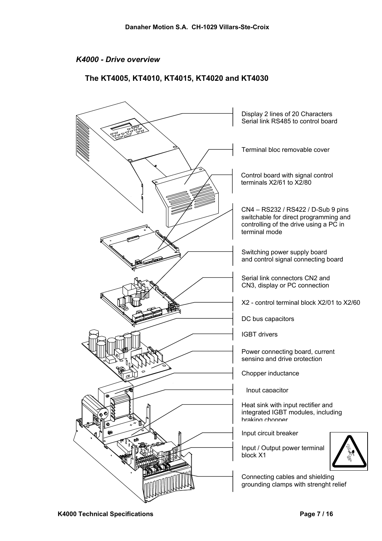# *K4000 - Drive overview*

# **The KT4005, KT4010, KT4015, KT4020 and KT4030**

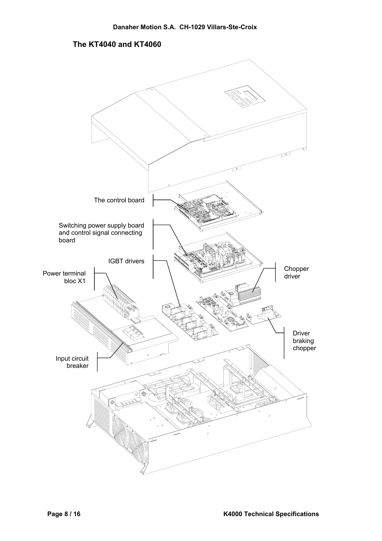## **The KT4040 and KT4060**

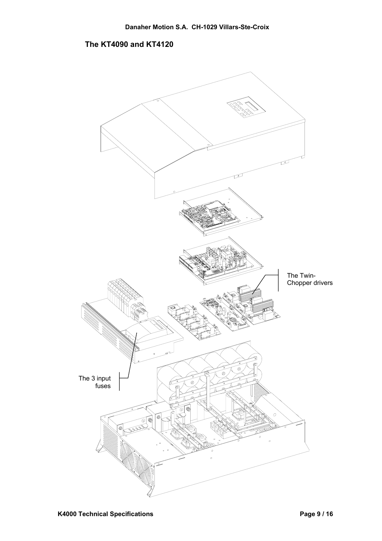# **The KT4090 and KT4120**

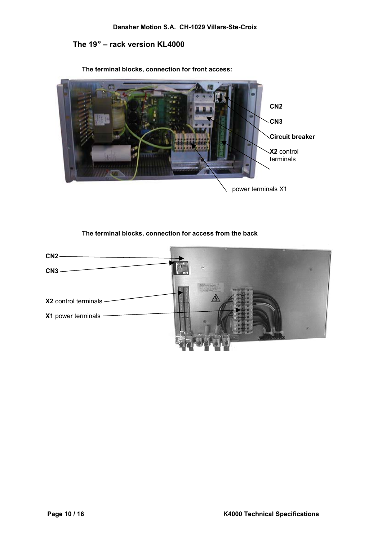#### **Danaher Motion S.A. CH-1029 Villars-Ste-Croix**

# **The 19" – rack version KL4000**



**The terminal blocks, connection for front access:**

**The terminal blocks, connection for access from the back** 

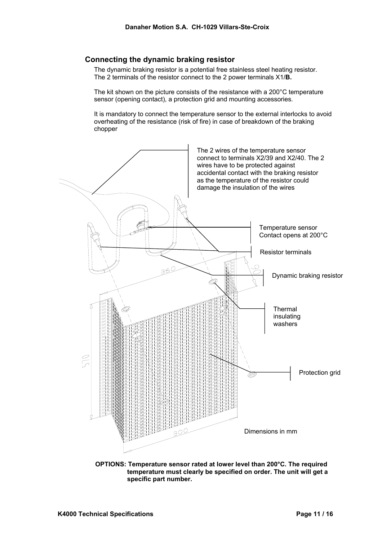## **Connecting the dynamic braking resistor**

The dynamic braking resistor is a potential free stainless steel heating resistor. The 2 terminals of the resistor connect to the 2 power terminals X1/**B.**

The kit shown on the picture consists of the resistance with a 200°C temperature sensor (opening contact), a protection grid and mounting accessories.

It is mandatory to connect the temperature sensor to the external interlocks to avoid overheating of the resistance (risk of fire) in case of breakdown of the braking chopper



**OPTIONS: Temperature sensor rated at lower level than 200°C. The required temperature must clearly be specified on order. The unit will get a specific part number.**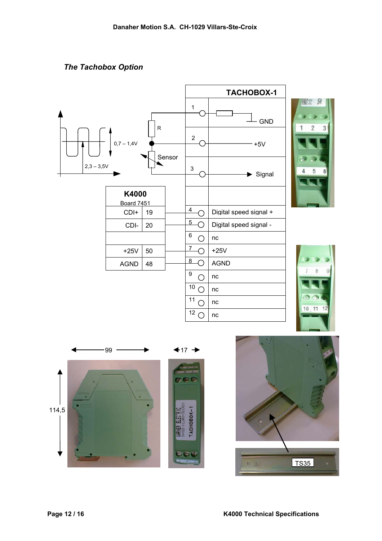# *The Tachobox Option*





 $10$  11

 $12$ 

 $\Delta$ 5  $6$ 

3



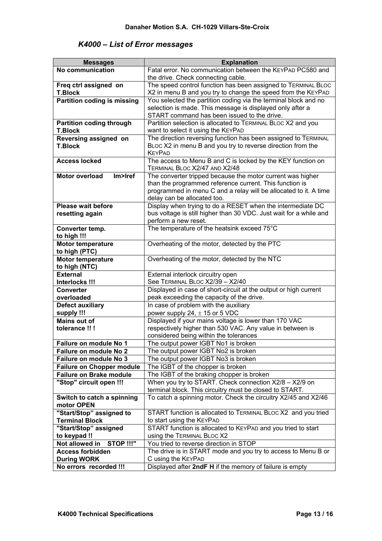# *K4000 – List of Error messages*

| <b>Messages</b>                    | <b>Explanation</b>                                                                                       |
|------------------------------------|----------------------------------------------------------------------------------------------------------|
| No communication                   | Fatal error. No communication between the KEYPAD PC580 and                                               |
|                                    | the drive. Check connecting cable.                                                                       |
| Freq ctrl assigned on              | The speed control function has been assigned to TERMINAL BLOC                                            |
| <b>T.Block</b>                     | X2 in menu B and you try to change the speed from the KEYPAD                                             |
| <b>Partition coding is missing</b> | You selected the partition coding via the terminal block and no                                          |
|                                    | selection is made. This message is displayed only after a<br>START command has been issued to the drive. |
| <b>Partition coding through</b>    | Partition selection is allocated to TERMINAL BLOC X2 and you                                             |
| <b>T.Block</b>                     | want to select it using the KEYPAD                                                                       |
| Reversing assigned on              | The direction reversing function has been assigned to TERMINAL                                           |
| <b>T.Block</b>                     | BLOC X2 in menu B and you try to reverse direction from the                                              |
|                                    | <b>KEYPAD</b>                                                                                            |
| <b>Access locked</b>               | The access to Menu B and C is locked by the KEY function on                                              |
|                                    | TERMINAL BLOC X2/47 AND X2/48                                                                            |
| <b>Motor overload</b><br>Im>Iref   | The converter tripped because the motor current was higher                                               |
|                                    | than the programmed reference current. This function is                                                  |
|                                    | programmed in menu C and a relay will be allocated to it. A time                                         |
|                                    | delay can be allocated too.                                                                              |
| Please wait before                 | Display when trying to do a RESET when the intermediate DC                                               |
| resetting again                    | bus voltage is still higher than 30 VDC. Just wait for a while and                                       |
|                                    | perform a new reset.<br>The temperature of the heatsink exceed 75°C                                      |
| Converter temp.<br>to high !!!     |                                                                                                          |
| Motor temperature                  | Overheating of the motor, detected by the PTC                                                            |
| to high (PTC)                      |                                                                                                          |
| <b>Motor temperature</b>           | Overheating of the motor, detected by the NTC                                                            |
| to high (NTC)                      |                                                                                                          |
| <b>External</b>                    | External interlock circuitry open                                                                        |
| Interlocks !!!                     | See TERMINAL BLOC X2/39 - X2/40                                                                          |
| <b>Converter</b>                   | Displayed in case of short-circuit at the output or high current                                         |
| overloaded                         | peak exceeding the capacity of the drive.                                                                |
| <b>Defect auxiliary</b>            | In case of problem with the auxiliary                                                                    |
| supply !!!                         | power supply 24, $\pm$ 15 or 5 VDC                                                                       |
| <b>Mains out of</b>                | Displayed if your mains voltage is lower than 170 VAC                                                    |
| tolerance !! !                     | respectively higher than 530 VAC. Any value in between is<br>considered being within the tolerances      |
| Failure on module No 1             | The output power IGBT No1 is broken                                                                      |
| Failure on module No 2             | The output power IGBT No2 is broken                                                                      |
| <b>Failure on module No 3</b>      | The output power IGBT No3 is broken                                                                      |
| <b>Failure on Chopper module</b>   | The IGBT of the chopper is broken                                                                        |
| <b>Failure on Brake module</b>     | The IGBT of the braking chopper is broken                                                                |
| "Stop" circuit open !!!            | When you try to START. Check connection X2/8 - X2/9 on                                                   |
|                                    | terminal block. This circuitry must be closed to START.                                                  |
| Switch to catch a spinning         | To catch a spinning motor. Check the circuitry X2/45 and X2/46                                           |
| motor OPEN                         |                                                                                                          |
| "Start/Stop" assigned to           | START function is allocated to TERMINAL BLOC X2 and you tried                                            |
| <b>Terminal Block</b>              | to start using the KEYPAD                                                                                |
| "Start/Stop" assigned              | START function is allocated to KEYPAD and you tried to start                                             |
| to keypad !!                       | using the TERMINAL BLOC X2                                                                               |
| <b>STOP !!!"</b><br>Not allowed in | You tried to reverse direction in STOP                                                                   |
| <b>Access forbidden</b>            | The drive is in START mode and you try to access to Menu B or                                            |
| <b>During WORK</b>                 | C using the KEYPAD                                                                                       |
| No errors recorded !!!             | Displayed after 2ndF H if the memory of failure is empty                                                 |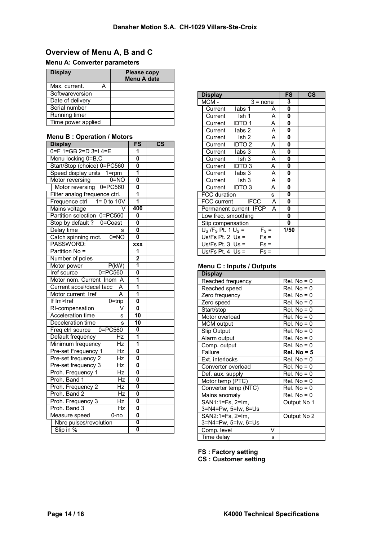# **Overview of Menu A, B and C**

# **Menu A: Converter parameters**

| <b>Display</b>     | <b>Please copy</b><br>Menu A data |
|--------------------|-----------------------------------|
| Max. current.<br>А |                                   |
| Softwareversion    |                                   |
| Date of delivery   |                                   |
| Serial number      |                                   |
| Running timer      |                                   |
| Time power applied |                                   |

## **Menu B : Operation / Motors**

| <b>Display</b>                                | <b>FS</b>                 | $\overline{\text{cs}}$ |
|-----------------------------------------------|---------------------------|------------------------|
| 0=F 1=GB 2=D 3=I 4=E                          | 1                         |                        |
| Menu locking 0=B,C                            | 0                         |                        |
| Start/Stop (choice) 0=PC560                   | 0                         |                        |
| Speed display units 1=rpm                     | $\overline{\mathbf{1}}$   |                        |
| $0=NO$<br>Motor reversing                     | 0                         |                        |
| Motor reversing<br>0=PC560                    | 0                         |                        |
| Filter analog frequence ctrl.                 | 1                         |                        |
| $1 = 0$ to $10V$<br>Frequence ctrl            | $\overline{\mathbf{1}}$   |                        |
| V<br>Mains voltage                            | 400                       |                        |
| Partition selection 0=PC560                   | 0                         |                        |
| Stop by default ? 0=Coast                     | 0                         |                        |
| Delay time<br>s                               | 0                         |                        |
| Catch spinning mot.<br>$0=NO$                 | $\overline{\mathbf{0}}$   |                        |
| PASSWORD:                                     | <b>XXX</b>                |                        |
| Partition No =                                | $\overline{\mathbf{1}}$   |                        |
| Number of poles                               | $\overline{2}$            |                        |
| Motor power<br>$P$ (kW)                       | $\overline{\mathbf{1}}$   |                        |
| $0 = PC560$<br>Iref source                    | $\overline{\mathbf{0}}$   |                        |
| Motor nom. Current Inom A                     | $\overline{\mathbf{1}}$   |                        |
| Current accel/decel lacc<br>Ā                 | $\overline{\mathbf{1}}$   |                        |
| $\overline{\mathsf{A}}$<br>Motor current Iref | 1                         |                        |
| If Im>Iref<br>$0 =$ trip                      | 0                         |                        |
| RI-compensation<br>v                          | $\overline{\mathbf{0}}$   |                        |
| <b>Acceleration time</b><br>s                 | 10                        |                        |
| Deceleration time<br>s                        | $\overline{10}$           |                        |
| $0 = PC560$<br>Freq ctrl source               | $\overline{\mathbf{0}}$   |                        |
| $\overline{Hz}$<br>Default frequency          | 1                         |                        |
| Minimum frequency<br>.<br>Hz                  | $\overline{\mathbf{1}}$   |                        |
| Pre-set Frequency 1<br>Hz                     | $\overline{\mathfrak{o}}$ |                        |
| Pre-set frequency 2<br>Hz                     | 0                         |                        |
| Pre-set frequency 3<br>$\overline{Hz}$        | $\overline{\mathbf{0}}$   |                        |
| Proh. Frequency 1<br>Hz                       | 0                         |                        |
| Proh. Band 1<br>Hz                            | 0                         |                        |
| Hz<br>Proh. Frequency 2                       | 0                         |                        |
| Proh. Band 2<br>$\overline{Hz}$               | $\overline{\mathbf{0}}$   |                        |
| $\overline{Hz}$<br>Proh. Frequency 3          | 0                         |                        |
| Proh. Band 3<br>Hz                            | 0                         |                        |
| Measure speed<br>$0 - no$                     | $\overline{\mathbf{0}}$   |                        |
| Nbre pulses/revolution                        | 0                         |                        |
| Slip in %                                     | $\overline{\mathfrak{o}}$ |                        |

| <b>Display</b>                                     | <b>FS</b>               | $\mathbf{c}\mathbf{s}$ |
|----------------------------------------------------|-------------------------|------------------------|
| MCM -<br>$3 = none$                                | 3                       |                        |
| labs 1<br>Current<br>А                             | 0                       |                        |
| A<br>Current<br>Ish 1                              | 0                       |                        |
| <b>IDTO1</b><br>Current<br>A                       | 0                       |                        |
| A<br>labs 2<br>Current                             | 0                       |                        |
| Ish <sub>2</sub><br>A<br>Current                   | 0                       |                        |
| <b>IDTO 2</b><br>A<br>Current                      | 0                       |                        |
| A<br>labs 3<br>Current                             | 0                       |                        |
| Ish 3<br>Current<br>А                              | $\overline{\mathbf{0}}$ |                        |
| <b>IDTO3</b><br>Α<br>Current                       | 0                       |                        |
| labs 3<br>A<br>Current                             | 0                       |                        |
| Ish 3<br>Α<br>Current                              | 0                       |                        |
| <b>IDTO3</b><br>A<br>Current                       | 0                       |                        |
| FCC duration<br>s                                  | 0                       |                        |
| TEC<br>A<br>FCC current                            | 0                       |                        |
| Permanent current IFCP<br>A                        | $\overline{\mathbf{0}}$ |                        |
| Low freq. smoothing                                | $\overline{\mathbf{0}}$ |                        |
| Slip compensation                                  | 0                       |                        |
| $US$ /F <sub>S</sub> Pt. 1 $US$ =<br>$F_{\rm S}$ = | 1/50                    |                        |
| Us/Fs Pt. $2$ Us =<br>$Fs =$                       |                         |                        |
| Us/Fs Pt. $3$ Us =<br>$Fs =$                       |                         |                        |
| Us/Fs Pt. $4$ Us =<br>$Fs =$                       |                         |                        |

## **Menu C : Inputs / Outputs**

| <b>Display</b>       |                           |
|----------------------|---------------------------|
| Reached frequency    | $Rel. No = 0$             |
| Reached speed        | $Rel. No = 0$             |
| Zero frequency       | $Rel. No = 0$             |
| Zero speed           | $Rel. No = 0$             |
| Start/stop           | $Rel. No = 0$             |
| Motor overload       | $Rel. No = 0$             |
| MCM output           | $Rel. No = 0$             |
| Slip Output          | $Rel. No = 0$             |
| Alarm output         | $\overline{R}$ el. No = 0 |
| Comp. output         | $Rel. No = 0$             |
| Failure              | $Rel. No = 5$             |
| Ext. interlocks      | $Rel. No = 0$             |
| Converter overload   | $Rel. No = 0$             |
| Def. aux. supply     | $Rel. No = 0$             |
| Motor temp (PTC)     | $Rel. No = 0$             |
| Converter temp (NTC) | $Rel. No = 0$             |
| Mains anomaly        | Rel. $No = 0$             |
| SAN1:1=Fs, 2=Im,     | Output No 1               |
| 3=N4=Pw, 5=Iw, 6=Us  |                           |
| SAN2:1=Fs, 2=Im,     | Output No 2               |
| 3=N4=Pw, 5=Iw, 6=Us  |                           |
| V<br>Comp. level     |                           |
| Time delay<br>S      |                           |

**FS : Factory setting CS : Customer setting**